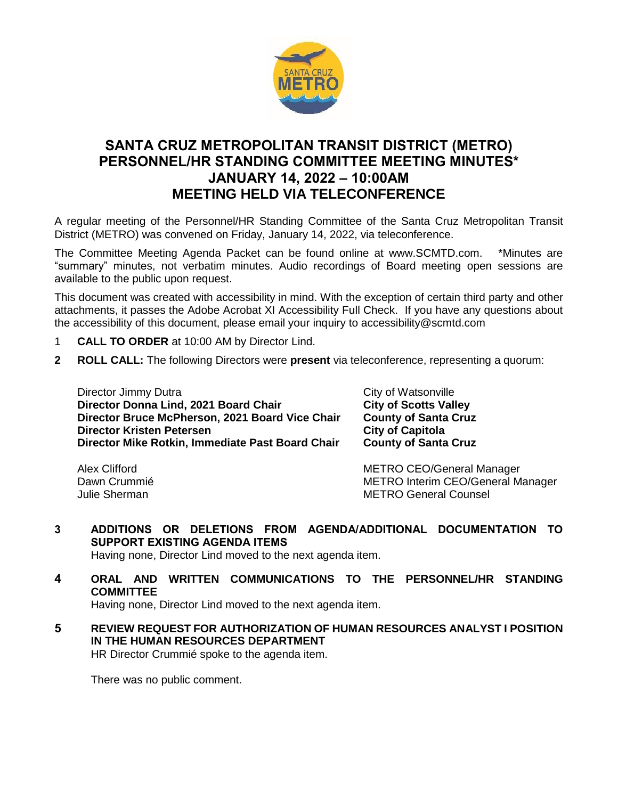

## **SANTA CRUZ METROPOLITAN TRANSIT DISTRICT (METRO) PERSONNEL/HR STANDING COMMITTEE MEETING MINUTES\* JANUARY 14, 2022 – 10:00AM MEETING HELD VIA TELECONFERENCE**

A regular meeting of the Personnel/HR Standing Committee of the Santa Cruz Metropolitan Transit District (METRO) was convened on Friday, January 14, 2022, via teleconference.

The Committee Meeting Agenda Packet can be found online at www.SCMTD.com. \*Minutes are "summary" minutes, not verbatim minutes. Audio recordings of Board meeting open sessions are available to the public upon request.

This document was created with accessibility in mind. With the exception of certain third party and other attachments, it passes the Adobe Acrobat XI Accessibility Full Check. If you have any questions about the accessibility of this document, please email your inquiry to accessibility@scmtd.com

- 1 **CALL TO ORDER** at 10:00 AM by Director Lind.
- **2 ROLL CALL:** The following Directors were **present** via teleconference, representing a quorum:

Director Jimmy Dutra City of Watsonville **Director Donna Lind, 2021 Board Chair City of Scotts Valley Director Bruce McPherson, 2021 Board Vice Chair County of Santa Cruz Director Kristen Petersen City of Capitola Director Mike Rotkin, Immediate Past Board Chair County of Santa Cruz** 

Alex Clifford **METRO CEO/General Manager** METRO CEO Dawn Crummié **METRO Interim CEO/General Manager** Julie Sherman METRO General Counsel

**3 ADDITIONS OR DELETIONS FROM AGENDA/ADDITIONAL DOCUMENTATION TO SUPPORT EXISTING AGENDA ITEMS** 

Having none, Director Lind moved to the next agenda item.

**4 ORAL AND WRITTEN COMMUNICATIONS TO THE PERSONNEL/HR STANDING COMMITTEE** 

Having none, Director Lind moved to the next agenda item.

**5 REVIEW REQUEST FOR AUTHORIZATION OF HUMAN RESOURCES ANALYST I POSITION IN THE HUMAN RESOURCES DEPARTMENT**

HR Director Crummié spoke to the agenda item.

There was no public comment.